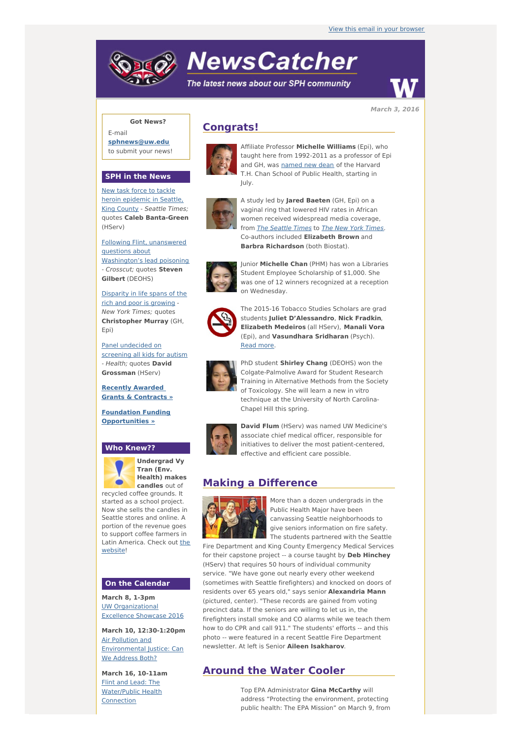# **NewsCatcher**

The latest news about our SPH community



**March 3, 2016**

## **Got News?**

E-mail **[sphnews@uw.edu](mailto:sphnews@uw.edu)** to submit your news!

### **SPH in the News**

New task force to tackle heroin [epidemic](http://engage.washington.edu/site/R?i=f6Y85QvDEIne7SUpGnZIWQ) in Seattle, King County - Seattle Times; quotes **Caleb Banta-Green** (HServ)

Following Flint, unanswered questions about [Washington's](http://engage.washington.edu/site/R?i=yxwjtCk8ZNvsh4HEqrnkdw) lead poisoning - Crosscut; quotes **Steven Gilbert** (DEOHS)

[Disparity](http://engage.washington.edu/site/R?i=WaacmNZ9es96NP59sMg2aA) in life spans of the rich and poor is growing - New York Times; quotes **Christopher Murray** (GH, Epi)

Panel [undecided](http://engage.washington.edu/site/R?i=wjc6rFCAmgCiMhPDstiiRw) on screening all kids for autism - Health; quotes **David Grossman** (HServ)

**Recently Awarded Grants & [Contracts](http://engage.washington.edu/site/R?i=cW9YIZkceqA77VXc3r4Z6A) »**

**Foundation Funding [Opportunities](http://engage.washington.edu/site/R?i=xM_0mzBWRNzN8s9CgH6P5A) »**

#### **Who Knew??**



**Undergrad Vy Tran (Env. Health) makes candles** out of

recycled coffee grounds. It started as a school project. Now she sells the candles in Seattle stores and online. A portion of the revenue goes to support coffee farmers in Latin [America.](http://engage.washington.edu/site/R?i=wHkNPUHgHgUgLiLafXxsJw) Check out the website!

#### **On the Calendar**

**March 8, 1-3pm** UW [Organizational](http://engage.washington.edu/site/R?i=Ly7fdLFdHqmkFw0A5pk_3Q) Excellence Showcase 2016

**March 10, 12:30-1:20pm** Air Pollution and [Environmental](http://engage.washington.edu/site/R?i=4fSvK1XeodQYdzCgR4RrDQ) Justice: Can We Address Both?

**March 16, 10-11am** Flint and Lead: The [Water/Public](http://engage.washington.edu/site/R?i=oec_En7lD6Ihlbv91_k_Jg) Health Connection

# **Congrats!**



Affiliate Professor **Michelle Williams** (Epi), who taught here from 1992-2011 as a professor of Epi and GH, was [named](http://engage.washington.edu/site/R?i=dRxsTDVCjrXASlPdMhHFRQ) new dean of the Harvard T.H. Chan School of Public Health, starting in July.



A study led by **Jared Baeten** (GH, Epi) on a vaginal ring that lowered HIV rates in African women received widespread media coverage, from The [Seattle](http://engage.washington.edu/site/R?i=d7vJNxqLLQ5l7U3EYxcZAA) [Times](http://engage.washington.edu/site/R?i=duR58_tCi8v9_srWPXa4ZA) to The New York Times. Co-authors included **Elizabeth Brown** and **Barbra Richardson** (both Biostat).



Junior **Michelle Chan** (PHM) has won a Libraries Student Employee Scholarship of \$1,000. She was one of 12 winners recognized at a reception on Wednesday.



The 2015-16 Tobacco Studies Scholars are grad students **Juliet D'Alessandro**, **Nick Fradkin**, **Elizabeth Medeiros** (all HServ), **Manali Vora** (Epi), and **Vasundhara Sridharan** (Psych). [Read](http://engage.washington.edu/site/R?i=NvJl4SRUmdnuO52SoZ1GCA) more.



PhD student **Shirley Chang** (DEOHS) won the Colgate-Palmolive Award for Student Research Training in Alternative Methods from the Society of Toxicology. She will learn a new in vitro technique at the University of North Carolina-Chapel Hill this spring.



**David Flum** (HServ) was named UW Medicine's associate chief medical officer, responsible for initiatives to deliver the most patient-centered, effective and efficient care possible.

## **Making a Difference**



More than a dozen undergrads in the Public Health Major have been canvassing Seattle neighborhoods to give seniors information on fire safety. The students partnered with the Seattle

Fire Department and King County Emergency Medical Services for their capstone project -- a course taught by **Deb Hinchey** (HServ) that requires 50 hours of individual community service. "We have gone out nearly every other weekend (sometimes with Seattle firefighters) and knocked on doors of residents over 65 years old," says senior **Alexandria Mann** (pictured, center). "These records are gained from voting precinct data. If the seniors are willing to let us in, the firefighters install smoke and CO alarms while we teach them how to do CPR and call 911." The students' efforts -- and this photo -- were featured in a recent Seattle Fire Department newsletter. At left is Senior **Aileen Isakharov**.

# **Around the Water Cooler**

Top EPA Administrator **Gina McCarthy** will address "Protecting the environment, protecting public health: The EPA Mission" on March 9, from